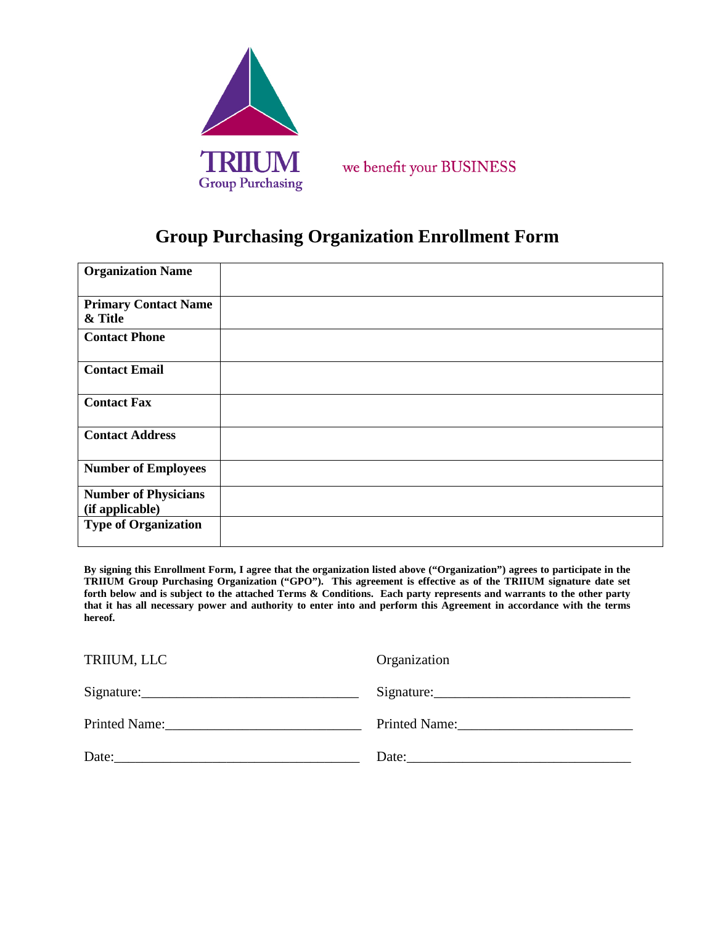

we benefit your BUSINESS

## **Group Purchasing Organization Enrollment Form**

| <b>Organization Name</b>    |  |
|-----------------------------|--|
| <b>Primary Contact Name</b> |  |
| & Title                     |  |
| <b>Contact Phone</b>        |  |
| <b>Contact Email</b>        |  |
| <b>Contact Fax</b>          |  |
| <b>Contact Address</b>      |  |
| <b>Number of Employees</b>  |  |
| <b>Number of Physicians</b> |  |
| (if applicable)             |  |
| <b>Type of Organization</b> |  |

**By signing this Enrollment Form, I agree that the organization listed above ("Organization") agrees to participate in the TRIIUM Group Purchasing Organization ("GPO"). This agreement is effective as of the TRIIUM signature date set forth below and is subject to the attached Terms & Conditions. Each party represents and warrants to the other party that it has all necessary power and authority to enter into and perform this Agreement in accordance with the terms hereof.**

| TRIIUM, LLC                                                                                                                   | Organization                                                                                                                                                                                                                                                                           |
|-------------------------------------------------------------------------------------------------------------------------------|----------------------------------------------------------------------------------------------------------------------------------------------------------------------------------------------------------------------------------------------------------------------------------------|
|                                                                                                                               |                                                                                                                                                                                                                                                                                        |
| Printed Name: Name:                                                                                                           | Printed Name:                                                                                                                                                                                                                                                                          |
| Date:<br><u> 1980 - Jan Stein Stein Stein Stein Stein Stein Stein Stein Stein Stein Stein Stein Stein Stein Stein Stein S</u> | Date: $\frac{1}{2}$ Date: $\frac{1}{2}$ Date: $\frac{1}{2}$ Date: $\frac{1}{2}$ Date: $\frac{1}{2}$ Date: $\frac{1}{2}$ Date: $\frac{1}{2}$ Date: $\frac{1}{2}$ Date: $\frac{1}{2}$ Date: $\frac{1}{2}$ Date: $\frac{1}{2}$ Date: $\frac{1}{2}$ Date: $\frac{1}{2}$ Date: $\frac{1}{2$ |